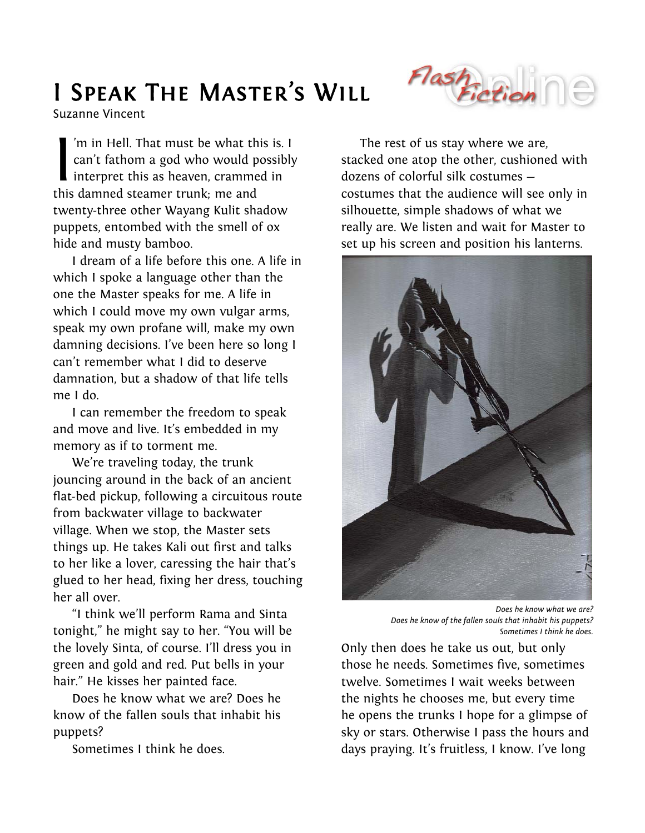## I Speak The Master's Will

Suzanne Vincent

'm in Hell. That must be what this is. I can't fathom a god who would possibly interpret this as heaven, crammed in this damned steamer trunk; me and twenty-three other Wayang Kulit shadow puppets, entombed with the smell of ox hide and musty bamboo.  $\begin{bmatrix} 1 \text{ m} \\ \text{c} \\ \text{in} \\ \text{in} \\ \text{this} \end{bmatrix}$ 

I dream of a life before this one. A life in which I spoke a language other than the one the Master speaks for me. A life in which I could move my own vulgar arms, speak my own profane will, make my own damning decisions. I've been here so long I can't remember what I did to deserve damnation, but a shadow of that life tells me I do.

I can remember the freedom to speak and move and live. It's embedded in my memory as if to torment me.

We're traveling today, the trunk jouncing around in the back of an ancient flat-bed pickup, following a circuitous route from backwater village to backwater village. When we stop, the Master sets things up. He takes Kali out first and talks to her like a lover, caressing the hair that's glued to her head, fixing her dress, touching her all over.

"I think we'll perform Rama and Sinta tonight," he might say to her. "You will be the lovely Sinta, of course. I'll dress you in green and gold and red. Put bells in your hair." He kisses her painted face.

Does he know what we are? Does he know of the fallen souls that inhabit his puppets?

Sometimes I think he does.

The rest of us stay where we are, stacked one atop the other, cushioned with dozens of colorful silk costumes costumes that the audience will see only in silhouette, simple shadows of what we really are. We listen and wait for Master to set up his screen and position his lanterns.



*Does he know what we are? Does he know of the fallen souls that inhabit his puppets? Sometimes I think he does.*

Only then does he take us out, but only those he needs. Sometimes five, sometimes twelve. Sometimes I wait weeks between the nights he chooses me, but every time he opens the trunks I hope for a glimpse of sky or stars. Otherwise I pass the hours and days praying. It's fruitless, I know. I've long